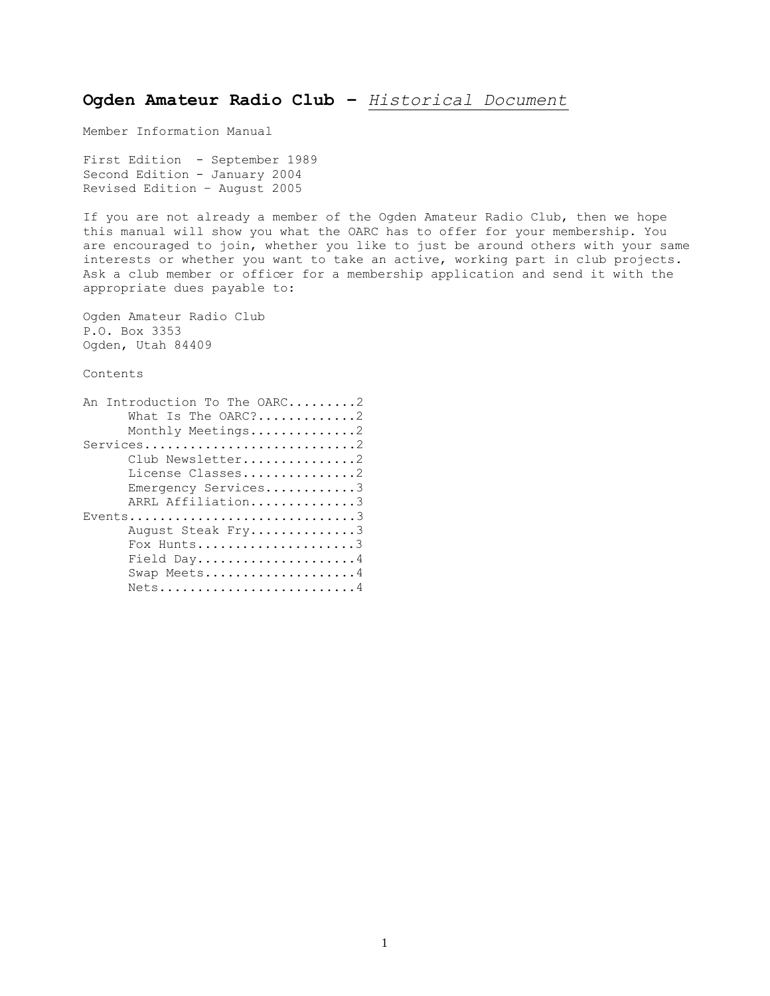# **Ogden Amateur Radio Club –** *Historical Document*

Member Information Manual

First Edition - September 1989 Second Edition - January 2004 Revised Edition – August 2005

If you are not already a member of the Ogden Amateur Radio Club, then we hope this manual will show you what the OARC has to offer for your membership. You are encouraged to join, whether you like to just be around others with your same interests or whether you want to take an active, working part in club projects. Ask a club member or officer for a membership application and send it with the appropriate dues payable to:

Ogden Amateur Radio Club P.O. Box 3353 Ogden, Utah 84409

Contents

| An Introduction To The OARC2 |
|------------------------------|
| What Is The $ORC?$ 2         |
| Monthly Meetings2            |
| Services                     |
| Club Newsletter2             |
| License Classes2             |
| Emergency Services3          |
| ARRL Affiliation3            |
| Events3                      |
| August Steak Fry3            |
| Fox Hunts3                   |
| Field Day4                   |
| Swap Meets4                  |
|                              |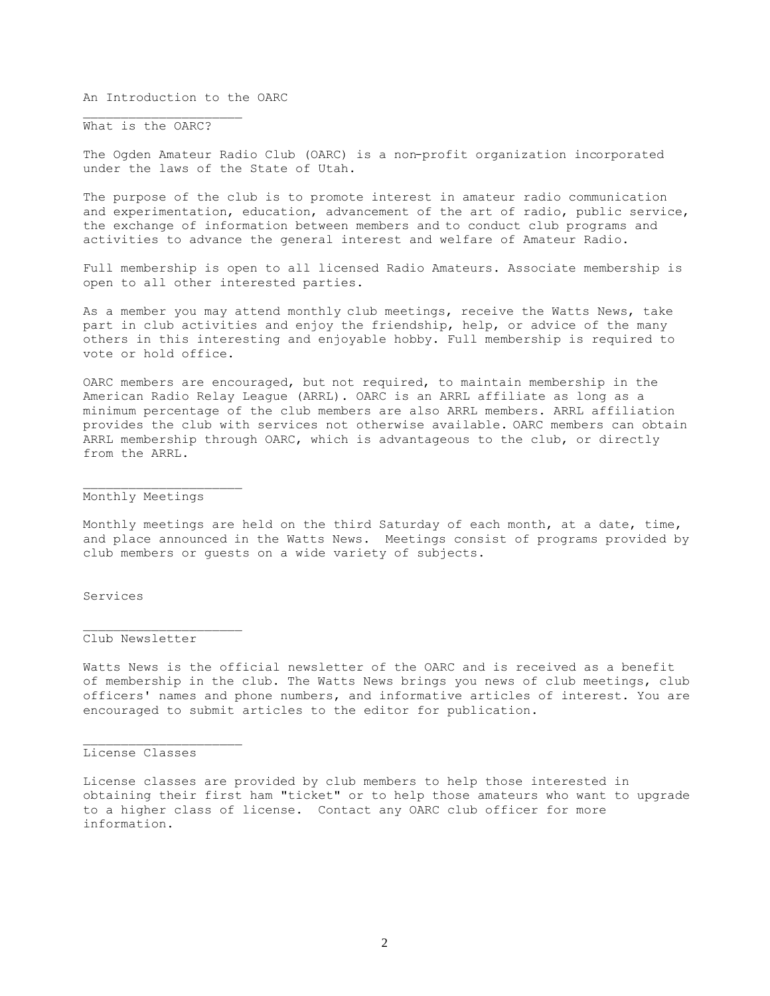An Introduction to the OARC

What is the OARC?

 $\overline{\phantom{a}}$  , where  $\overline{\phantom{a}}$  , where  $\overline{\phantom{a}}$  , where  $\overline{\phantom{a}}$ 

The Ogden Amateur Radio Club (OARC) is a non-profit organization incorporated under the laws of the State of Utah.

The purpose of the club is to promote interest in amateur radio communication and experimentation, education, advancement of the art of radio, public service, the exchange of information between members and to conduct club programs and activities to advance the general interest and welfare of Amateur Radio.

Full membership is open to all licensed Radio Amateurs. Associate membership is open to all other interested parties.

As a member you may attend monthly club meetings, receive the Watts News, take part in club activities and enjoy the friendship, help, or advice of the many others in this interesting and enjoyable hobby. Full membership is required to vote or hold office.

OARC members are encouraged, but not required, to maintain membership in the American Radio Relay League (ARRL). OARC is an ARRL affiliate as long as a minimum percentage of the club members are also ARRL members. ARRL affiliation provides the club with services not otherwise available. OARC members can obtain ARRL membership through OARC, which is advantageous to the club, or directly from the ARRL.

# Monthly Meetings

Monthly meetings are held on the third Saturday of each month, at a date, time, and place announced in the Watts News. Meetings consist of programs provided by club members or guests on a wide variety of subjects.

# Services

### Club Newsletter

Watts News is the official newsletter of the OARC and is received as a benefit of membership in the club. The Watts News brings you news of club meetings, club officers' names and phone numbers, and informative articles of interest. You are encouraged to submit articles to the editor for publication.

#### License Classes

License classes are provided by club members to help those interested in obtaining their first ham "ticket" or to help those amateurs who want to upgrade to a higher class of license. Contact any OARC club officer for more information.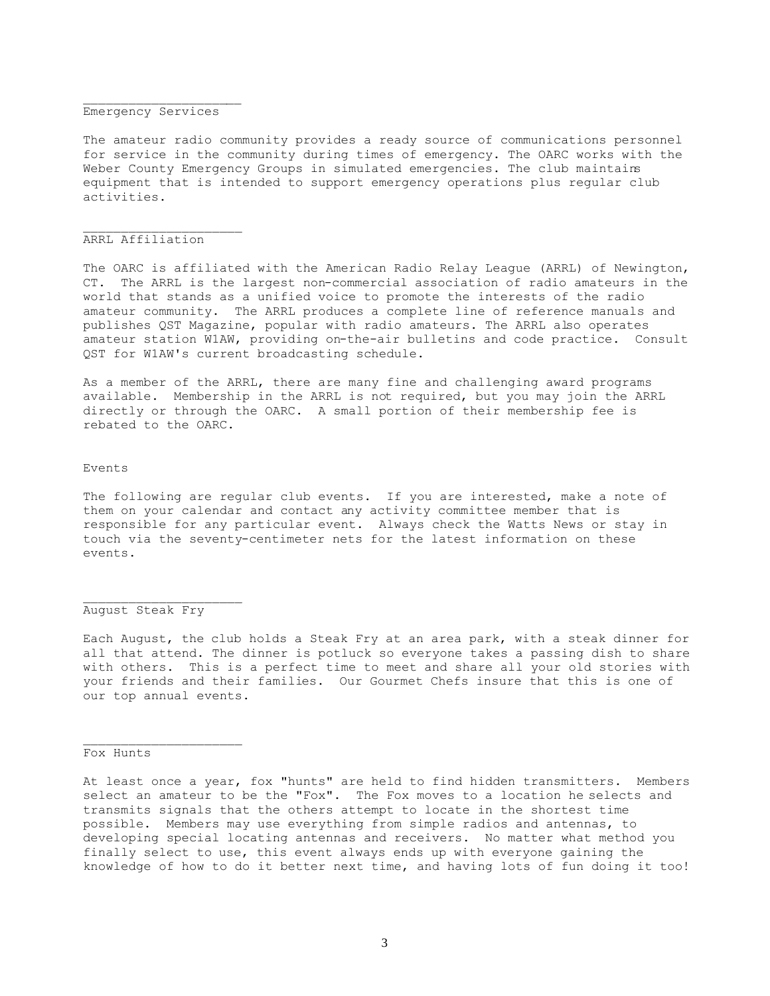#### $\overline{\phantom{a}}$  , where  $\overline{\phantom{a}}$  , where  $\overline{\phantom{a}}$  , where  $\overline{\phantom{a}}$  , where  $\overline{\phantom{a}}$ Emergency Services

The amateur radio community provides a ready source of communications personnel for service in the community during times of emergency. The OARC works with the Weber County Emergency Groups in simulated emergencies. The club maintains equipment that is intended to support emergency operations plus regular club activities.

#### ARRL Affiliation

 $\overline{\phantom{a}}$  , where  $\overline{\phantom{a}}$  , where  $\overline{\phantom{a}}$  , where  $\overline{\phantom{a}}$ 

The OARC is affiliated with the American Radio Relay League (ARRL) of Newington, CT. The ARRL is the largest non-commercial association of radio amateurs in the world that stands as a unified voice to promote the interests of the radio amateur community. The ARRL produces a complete line of reference manuals and publishes QST Magazine, popular with radio amateurs. The ARRL also operates amateur station W1AW, providing on-the-air bulletins and code practice. Consult QST for W1AW's current broadcasting schedule.

As a member of the ARRL, there are many fine and challenging award programs available. Membership in the ARRL is not required, but you may join the ARRL directly or through the OARC. A small portion of their membership fee is rebated to the OARC.

#### Events

The following are regular club events. If you are interested, make a note of them on your calendar and contact any activity committee member that is responsible for any particular event. Always check the Watts News or stay in touch via the seventy-centimeter nets for the latest information on these events.

### August Steak Fry

Each August, the club holds a Steak Fry at an area park, with a steak dinner for all that attend. The dinner is potluck so everyone takes a passing dish to share with others. This is a perfect time to meet and share all your old stories with your friends and their families. Our Gourmet Chefs insure that this is one of our top annual events.

#### Fox Hunts

At least once a year, fox "hunts" are held to find hidden transmitters. Members select an amateur to be the "Fox". The Fox moves to a location he selects and transmits signals that the others attempt to locate in the shortest time possible. Members may use everything from simple radios and antennas, to developing special locating antennas and receivers. No matter what method you finally select to use, this event always ends up with everyone gaining the knowledge of how to do it better next time, and having lots of fun doing it too!